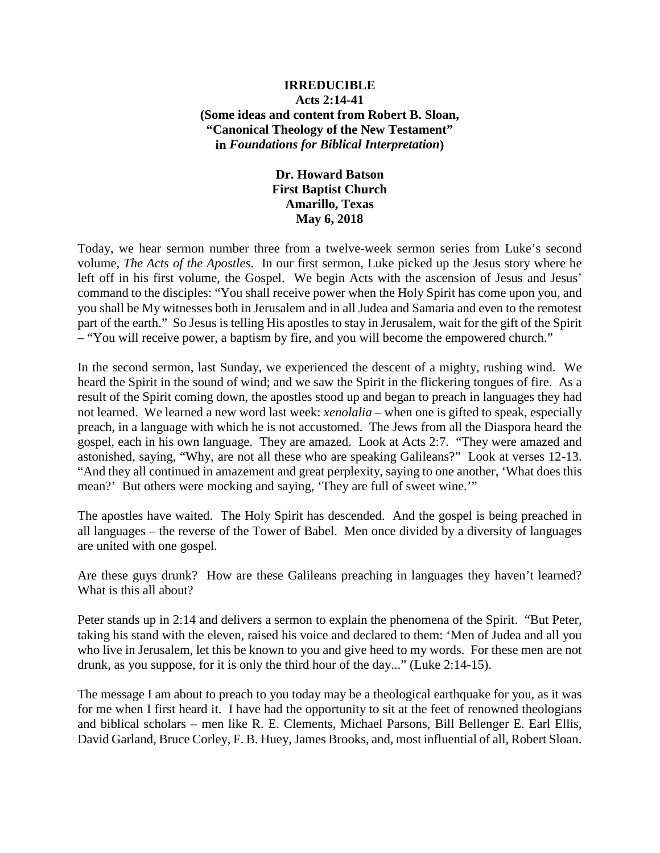### **IRREDUCIBLE Acts 2:14-41 (Some ideas and content from Robert B. Sloan, "Canonical Theology of the New Testament" in** *Foundations for Biblical Interpretation***)**

# **Dr. Howard Batson First Baptist Church Amarillo, Texas May 6, 2018**

Today, we hear sermon number three from a twelve-week sermon series from Luke's second volume, *The Acts of the Apostles*. In our first sermon, Luke picked up the Jesus story where he left off in his first volume, the Gospel. We begin Acts with the ascension of Jesus and Jesus' command to the disciples: "You shall receive power when the Holy Spirit has come upon you, and you shall be My witnesses both in Jerusalem and in all Judea and Samaria and even to the remotest part of the earth." So Jesus is telling His apostles to stay in Jerusalem, wait for the gift of the Spirit – "You will receive power, a baptism by fire, and you will become the empowered church."

In the second sermon, last Sunday, we experienced the descent of a mighty, rushing wind. We heard the Spirit in the sound of wind; and we saw the Spirit in the flickering tongues of fire. As a result of the Spirit coming down, the apostles stood up and began to preach in languages they had not learned. We learned a new word last week: *xenolalia* – when one is gifted to speak, especially preach, in a language with which he is not accustomed. The Jews from all the Diaspora heard the gospel, each in his own language. They are amazed. Look at Acts 2:7. "They were amazed and astonished, saying, "Why, are not all these who are speaking Galileans?" Look at verses 12-13. "And they all continued in amazement and great perplexity, saying to one another, 'What does this mean?' But others were mocking and saying, 'They are full of sweet wine.'"

The apostles have waited. The Holy Spirit has descended. And the gospel is being preached in all languages – the reverse of the Tower of Babel. Men once divided by a diversity of languages are united with one gospel.

Are these guys drunk? How are these Galileans preaching in languages they haven't learned? What is this all about?

Peter stands up in 2:14 and delivers a sermon to explain the phenomena of the Spirit. "But Peter, taking his stand with the eleven, raised his voice and declared to them: 'Men of Judea and all you who live in Jerusalem, let this be known to you and give heed to my words. For these men are not drunk, as you suppose, for it is only the third hour of the day..." (Luke 2:14-15).

The message I am about to preach to you today may be a theological earthquake for you, as it was for me when I first heard it. I have had the opportunity to sit at the feet of renowned theologians and biblical scholars – men like R. E. Clements, Michael Parsons, Bill Bellenger E. Earl Ellis, David Garland, Bruce Corley, F. B. Huey, James Brooks, and, most influential of all, Robert Sloan.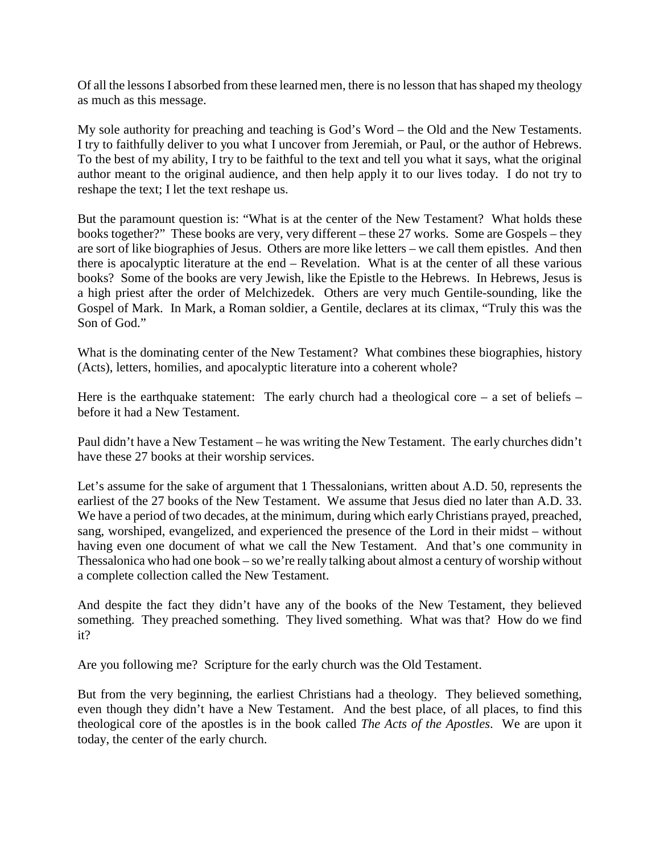Of all the lessons I absorbed from these learned men, there is no lesson that has shaped my theology as much as this message.

My sole authority for preaching and teaching is God's Word – the Old and the New Testaments. I try to faithfully deliver to you what I uncover from Jeremiah, or Paul, or the author of Hebrews. To the best of my ability, I try to be faithful to the text and tell you what it says, what the original author meant to the original audience, and then help apply it to our lives today. I do not try to reshape the text; I let the text reshape us.

But the paramount question is: "What is at the center of the New Testament? What holds these books together?" These books are very, very different – these 27 works. Some are Gospels – they are sort of like biographies of Jesus. Others are more like letters – we call them epistles. And then there is apocalyptic literature at the end – Revelation. What is at the center of all these various books? Some of the books are very Jewish, like the Epistle to the Hebrews. In Hebrews, Jesus is a high priest after the order of Melchizedek. Others are very much Gentile-sounding, like the Gospel of Mark. In Mark, a Roman soldier, a Gentile, declares at its climax, "Truly this was the Son of God."

What is the dominating center of the New Testament? What combines these biographies, history (Acts), letters, homilies, and apocalyptic literature into a coherent whole?

Here is the earthquake statement: The early church had a theological core – a set of beliefs – before it had a New Testament.

Paul didn't have a New Testament – he was writing the New Testament. The early churches didn't have these 27 books at their worship services.

Let's assume for the sake of argument that 1 Thessalonians, written about A.D. 50, represents the earliest of the 27 books of the New Testament. We assume that Jesus died no later than A.D. 33. We have a period of two decades, at the minimum, during which early Christians prayed, preached, sang, worshiped, evangelized, and experienced the presence of the Lord in their midst – without having even one document of what we call the New Testament. And that's one community in Thessalonica who had one book – so we're really talking about almost a century of worship without a complete collection called the New Testament.

And despite the fact they didn't have any of the books of the New Testament, they believed something. They preached something. They lived something. What was that? How do we find it?

Are you following me? Scripture for the early church was the Old Testament.

But from the very beginning, the earliest Christians had a theology. They believed something, even though they didn't have a New Testament. And the best place, of all places, to find this theological core of the apostles is in the book called *The Acts of the Apostles*. We are upon it today, the center of the early church.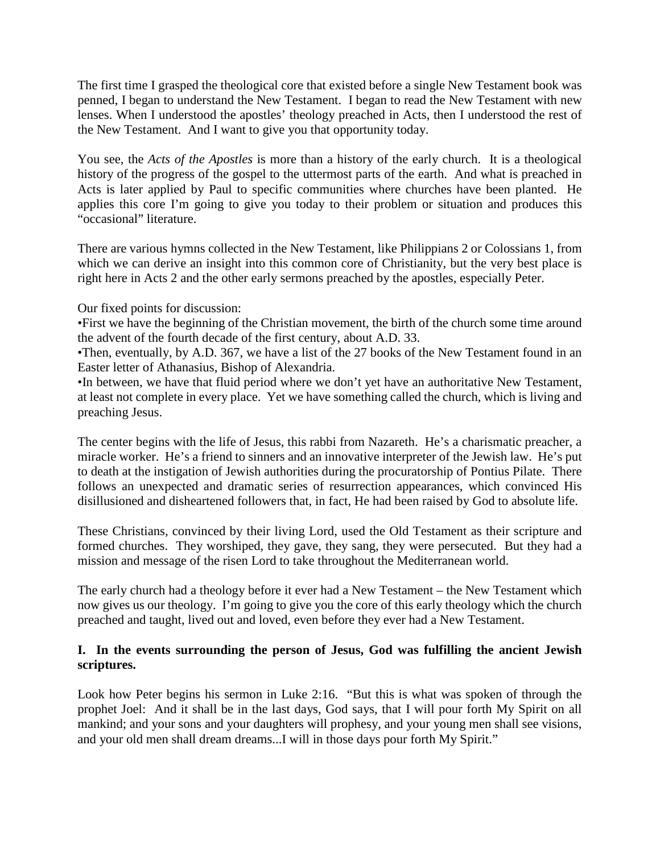The first time I grasped the theological core that existed before a single New Testament book was penned, I began to understand the New Testament. I began to read the New Testament with new lenses. When I understood the apostles' theology preached in Acts, then I understood the rest of the New Testament. And I want to give you that opportunity today.

You see, the *Acts of the Apostles* is more than a history of the early church. It is a theological history of the progress of the gospel to the uttermost parts of the earth. And what is preached in Acts is later applied by Paul to specific communities where churches have been planted. He applies this core I'm going to give you today to their problem or situation and produces this "occasional" literature.

There are various hymns collected in the New Testament, like Philippians 2 or Colossians 1, from which we can derive an insight into this common core of Christianity, but the very best place is right here in Acts 2 and the other early sermons preached by the apostles, especially Peter.

Our fixed points for discussion:

•First we have the beginning of the Christian movement, the birth of the church some time around the advent of the fourth decade of the first century, about A.D. 33.

•Then, eventually, by A.D. 367, we have a list of the 27 books of the New Testament found in an Easter letter of Athanasius, Bishop of Alexandria.

•In between, we have that fluid period where we don't yet have an authoritative New Testament, at least not complete in every place. Yet we have something called the church, which is living and preaching Jesus.

The center begins with the life of Jesus, this rabbi from Nazareth. He's a charismatic preacher, a miracle worker. He's a friend to sinners and an innovative interpreter of the Jewish law. He's put to death at the instigation of Jewish authorities during the procuratorship of Pontius Pilate. There follows an unexpected and dramatic series of resurrection appearances, which convinced His disillusioned and disheartened followers that, in fact, He had been raised by God to absolute life.

These Christians, convinced by their living Lord, used the Old Testament as their scripture and formed churches. They worshiped, they gave, they sang, they were persecuted. But they had a mission and message of the risen Lord to take throughout the Mediterranean world.

The early church had a theology before it ever had a New Testament – the New Testament which now gives us our theology. I'm going to give you the core of this early theology which the church preached and taught, lived out and loved, even before they ever had a New Testament.

### **I. In the events surrounding the person of Jesus, God was fulfilling the ancient Jewish scriptures.**

Look how Peter begins his sermon in Luke 2:16. "But this is what was spoken of through the prophet Joel: And it shall be in the last days, God says, that I will pour forth My Spirit on all mankind; and your sons and your daughters will prophesy, and your young men shall see visions, and your old men shall dream dreams...I will in those days pour forth My Spirit."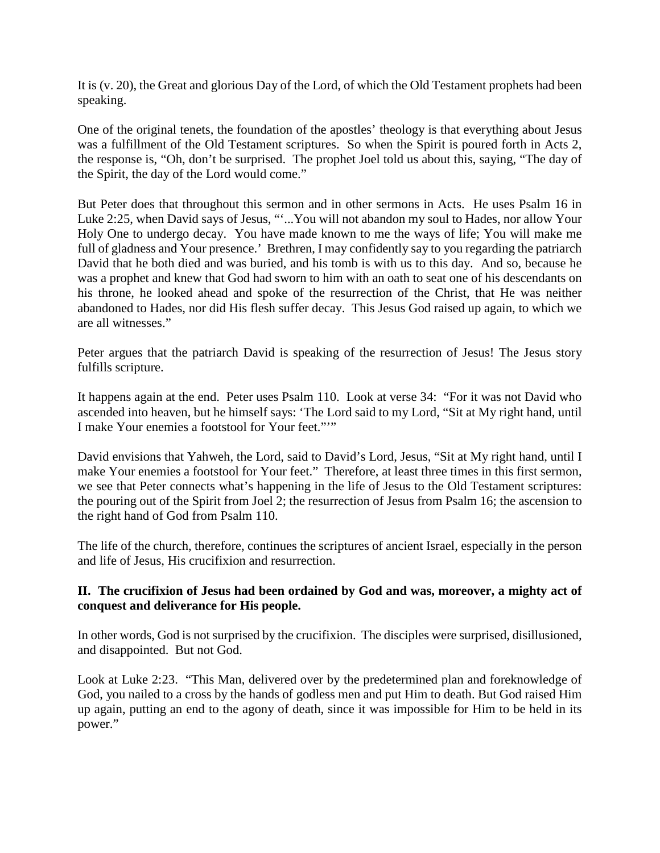It is (v. 20), the Great and glorious Day of the Lord, of which the Old Testament prophets had been speaking.

One of the original tenets, the foundation of the apostles' theology is that everything about Jesus was a fulfillment of the Old Testament scriptures. So when the Spirit is poured forth in Acts 2, the response is, "Oh, don't be surprised. The prophet Joel told us about this, saying, "The day of the Spirit, the day of the Lord would come."

But Peter does that throughout this sermon and in other sermons in Acts. He uses Psalm 16 in Luke 2:25, when David says of Jesus, "'...You will not abandon my soul to Hades, nor allow Your Holy One to undergo decay. You have made known to me the ways of life; You will make me full of gladness and Your presence.' Brethren, I may confidently say to you regarding the patriarch David that he both died and was buried, and his tomb is with us to this day. And so, because he was a prophet and knew that God had sworn to him with an oath to seat one of his descendants on his throne, he looked ahead and spoke of the resurrection of the Christ, that He was neither abandoned to Hades, nor did His flesh suffer decay. This Jesus God raised up again, to which we are all witnesses."

Peter argues that the patriarch David is speaking of the resurrection of Jesus! The Jesus story fulfills scripture.

It happens again at the end. Peter uses Psalm 110. Look at verse 34: "For it was not David who ascended into heaven, but he himself says: 'The Lord said to my Lord, "Sit at My right hand, until I make Your enemies a footstool for Your feet."'"

David envisions that Yahweh, the Lord, said to David's Lord, Jesus, "Sit at My right hand, until I make Your enemies a footstool for Your feet." Therefore, at least three times in this first sermon, we see that Peter connects what's happening in the life of Jesus to the Old Testament scriptures: the pouring out of the Spirit from Joel 2; the resurrection of Jesus from Psalm 16; the ascension to the right hand of God from Psalm 110.

The life of the church, therefore, continues the scriptures of ancient Israel, especially in the person and life of Jesus, His crucifixion and resurrection.

### **II. The crucifixion of Jesus had been ordained by God and was, moreover, a mighty act of conquest and deliverance for His people.**

In other words, God is not surprised by the crucifixion. The disciples were surprised, disillusioned, and disappointed. But not God.

Look at Luke 2:23. "This Man, delivered over by the predetermined plan and foreknowledge of God, you nailed to a cross by the hands of godless men and put Him to death. But God raised Him up again, putting an end to the agony of death, since it was impossible for Him to be held in its power."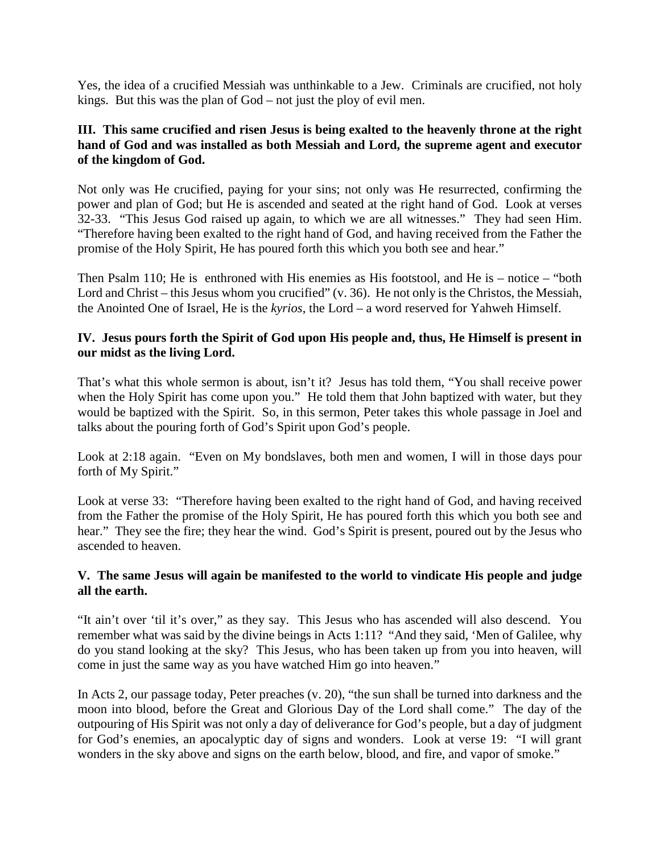Yes, the idea of a crucified Messiah was unthinkable to a Jew. Criminals are crucified, not holy kings. But this was the plan of God – not just the ploy of evil men.

### **III. This same crucified and risen Jesus is being exalted to the heavenly throne at the right hand of God and was installed as both Messiah and Lord, the supreme agent and executor of the kingdom of God.**

Not only was He crucified, paying for your sins; not only was He resurrected, confirming the power and plan of God; but He is ascended and seated at the right hand of God. Look at verses 32-33. "This Jesus God raised up again, to which we are all witnesses." They had seen Him. "Therefore having been exalted to the right hand of God, and having received from the Father the promise of the Holy Spirit, He has poured forth this which you both see and hear."

Then Psalm 110; He is enthroned with His enemies as His footstool, and He is – notice – "both Lord and Christ – this Jesus whom you crucified" (v. 36). He not only is the Christos, the Messiah, the Anointed One of Israel, He is the *kyrios*, the Lord – a word reserved for Yahweh Himself.

### **IV. Jesus pours forth the Spirit of God upon His people and, thus, He Himself is present in our midst as the living Lord.**

That's what this whole sermon is about, isn't it? Jesus has told them, "You shall receive power when the Holy Spirit has come upon you." He told them that John baptized with water, but they would be baptized with the Spirit. So, in this sermon, Peter takes this whole passage in Joel and talks about the pouring forth of God's Spirit upon God's people.

Look at 2:18 again. "Even on My bondslaves, both men and women, I will in those days pour forth of My Spirit."

Look at verse 33: "Therefore having been exalted to the right hand of God, and having received from the Father the promise of the Holy Spirit, He has poured forth this which you both see and hear." They see the fire; they hear the wind. God's Spirit is present, poured out by the Jesus who ascended to heaven.

## **V. The same Jesus will again be manifested to the world to vindicate His people and judge all the earth.**

"It ain't over 'til it's over," as they say. This Jesus who has ascended will also descend. You remember what was said by the divine beings in Acts 1:11? "And they said, 'Men of Galilee, why do you stand looking at the sky? This Jesus, who has been taken up from you into heaven, will come in just the same way as you have watched Him go into heaven."

In Acts 2, our passage today, Peter preaches (v. 20), "the sun shall be turned into darkness and the moon into blood, before the Great and Glorious Day of the Lord shall come." The day of the outpouring of His Spirit was not only a day of deliverance for God's people, but a day of judgment for God's enemies, an apocalyptic day of signs and wonders. Look at verse 19: "I will grant wonders in the sky above and signs on the earth below, blood, and fire, and vapor of smoke."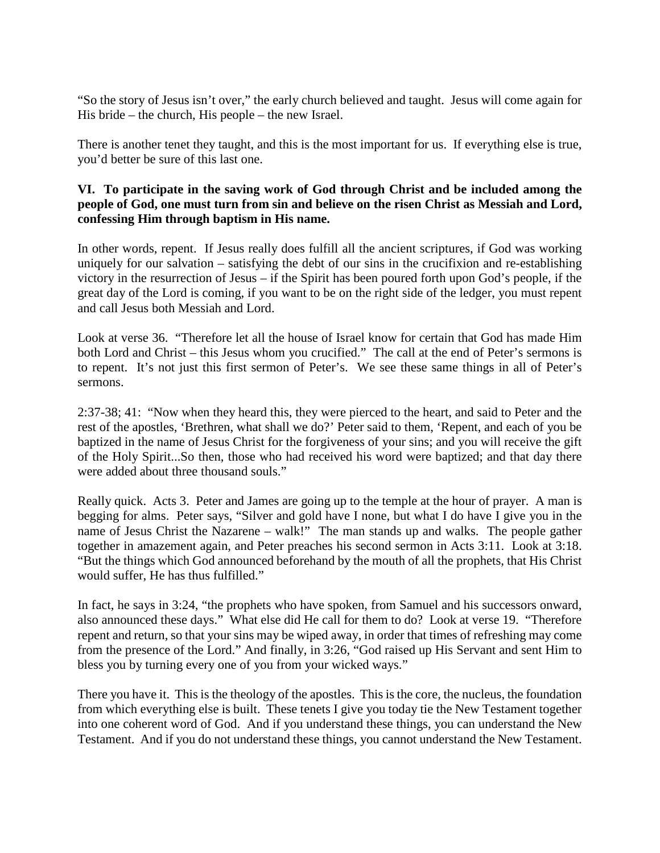"So the story of Jesus isn't over," the early church believed and taught. Jesus will come again for His bride – the church, His people – the new Israel.

There is another tenet they taught, and this is the most important for us. If everything else is true, you'd better be sure of this last one.

### **VI. To participate in the saving work of God through Christ and be included among the people of God, one must turn from sin and believe on the risen Christ as Messiah and Lord, confessing Him through baptism in His name.**

In other words, repent. If Jesus really does fulfill all the ancient scriptures, if God was working uniquely for our salvation – satisfying the debt of our sins in the crucifixion and re-establishing victory in the resurrection of Jesus – if the Spirit has been poured forth upon God's people, if the great day of the Lord is coming, if you want to be on the right side of the ledger, you must repent and call Jesus both Messiah and Lord.

Look at verse 36. "Therefore let all the house of Israel know for certain that God has made Him both Lord and Christ – this Jesus whom you crucified." The call at the end of Peter's sermons is to repent. It's not just this first sermon of Peter's. We see these same things in all of Peter's sermons.

2:37-38; 41: "Now when they heard this, they were pierced to the heart, and said to Peter and the rest of the apostles, 'Brethren, what shall we do?' Peter said to them, 'Repent, and each of you be baptized in the name of Jesus Christ for the forgiveness of your sins; and you will receive the gift of the Holy Spirit...So then, those who had received his word were baptized; and that day there were added about three thousand souls."

Really quick. Acts 3. Peter and James are going up to the temple at the hour of prayer. A man is begging for alms. Peter says, "Silver and gold have I none, but what I do have I give you in the name of Jesus Christ the Nazarene – walk!" The man stands up and walks. The people gather together in amazement again, and Peter preaches his second sermon in Acts 3:11. Look at 3:18. "But the things which God announced beforehand by the mouth of all the prophets, that His Christ would suffer, He has thus fulfilled."

In fact, he says in 3:24, "the prophets who have spoken, from Samuel and his successors onward, also announced these days." What else did He call for them to do? Look at verse 19. "Therefore repent and return, so that your sins may be wiped away, in order that times of refreshing may come from the presence of the Lord." And finally, in 3:26, "God raised up His Servant and sent Him to bless you by turning every one of you from your wicked ways."

There you have it. This is the theology of the apostles. This is the core, the nucleus, the foundation from which everything else is built. These tenets I give you today tie the New Testament together into one coherent word of God. And if you understand these things, you can understand the New Testament. And if you do not understand these things, you cannot understand the New Testament.